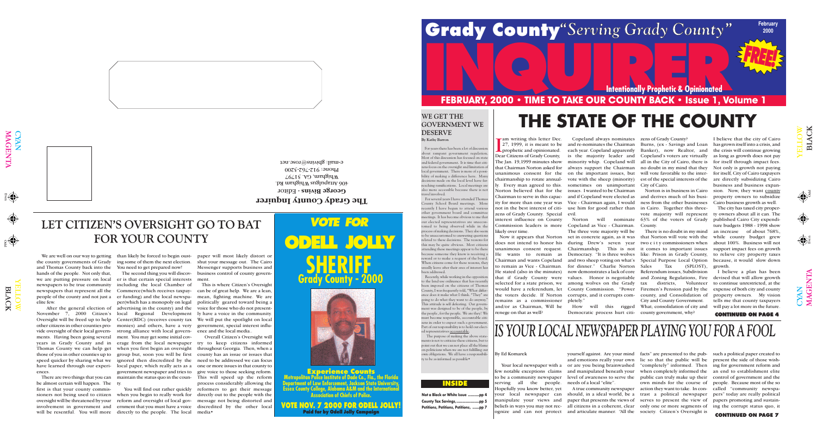'()

 $\bigcap$ 

CYAN<br>MAGI

 $\overline{\mathbf{E}}$  ${\bf Z}$  $\blacktriangleright$ 

Odd

 $\mathbf{\Xi}$ 

 $\bigcirc$ YAN MAG

Even

 $\overline{\mathbf{r}}$  $\mathsf{Z}% _{0}\!\left( \mathcal{M}\right) \equiv\mathcal{M}\!\left( \mathcal{M}\right)$  $\boldsymbol{\Xi}$ 

YE  $\overline{\phantom{1}}$  $\Box$ O $\blacktriangleright$ 

LAC

 $\overline{\mathbf{X}}$ 

**2000**

**FREE!**

### By Ed Komarek

Your local newspaper with a or are you being brainwashed yourself against. Are your mind facts" are presented to the pub-such a political paper created to and emotions really your own lic so that the public will be present the side of those wishneeds of a local "elite".

few notable exceptions claims and manipulated beneath your to be a community newspaper level of awareness to serve the serving all the people. Hopefully you know better, yet manipulate your views and paper that presents the views of

your local newspaper can should, in a ideal world, be a trast a political newspaper pers" today are really political beliefs in ways you may not rec-all citizens in a coherent, clear only one or more segments of ognize and can not protect and articulate manner. "All the society. Citizen's Oversight is

A true community newspaper action they want to take. In con-called "community newspa-"completely" informed. Then ing for government reform and when completely informed the an end to establishment elite public can truly make up their control of government and the own minds for the course of serves to present the view of

people. Because most of the so papers promoting and sustaining the corrupt status quo, it



### **WE GET THE GOVERNMENT WE DESERVE**

**By Kathy Barron**

Recently, while working in the opposition o the land use ordinance that has recently been imposed on the citizens of Thomas County, I was frequently told, "What difference does it make what I think. "They" are going to do what they want to do anyway." This attitude is self defeating. Our government was designed to be of the people, by the people , for the people. We are they! We must become responsible, accountable citizens in order to expect such a government Part of our responsibility is to hold our elected representatives accountable.

The purpose of making the above state ments is not to criticize these citizens, but to point out that we can not place all the blame on politicians when we are not fulfilling our own obligations. We all have a responsibility to be as informed as possible•

For years there has been a lot of discussion about rampant government regulation. Most of this discussion has focused on state and federal government. It is time that citizens focus on the oversight and limitation of local government. There is more of a possibility of making a difference here. Many decisions made on the local level have farreaching ramifications. Local meetings are also more accessible because there is not travel involved.

Im writing this letter Dec<br>
27, 1999, it is meant to be<br>
prophetic and opinionated.<br>
Dear Citizens of Grady County, am writing this letter Dec. prophetic and opinionated. The Jan. 19,1999 minutes show that Chairman Norton asked for unanimous consent for the chairmanship to rotate annually. Every man agreed to this. Norton believed that for the Chairman to serve in this capacity for more than one year was not in the best interest of citizens of Grady County. Special interest influence on County Commission leaders is more likely over time.

For several years I have attended Thomas County School Board meetings. More recently I have begun to attend various other government board and committee meetings. It has become obvious to me that our elected representatives are unaccustomed to being observed while in the process of making decisions. They also seem to be unaccustomed to answering questions related to these decisions. The reasons for this may be quite obvious. Most citizens attending these meetings appear to be there because someone they know is receiving a reward or to make a request of the board. When citizens come for these reasons, they usually leave after their area of interest has been addressed.

> How will this rigged Democratic process hurt citi- county government, why?

Norton is in business in Cairo and derives much of his business from the other businesses in Cairo. Together this threevote majority will represent 63% of the voters of Grady **County** 

**Intentionally Prophetic & Opinionated**

# **INCREAD FRAME TO TAKE OUR COUNTY BACK • Issue 1, Volume 1**

27, 1999, it is meant to be and re-nominates the Chairman Copeland always nominates zens of Grady County? each year. Copeland apparently is the majority leader and minority whip. Copeland will always support the Chairman on the important issues, but vote with the sheep (minority) sometimes on unimportant issues. I wanted to be Chairman and if Copeland were elected as Vice - Chairman again, I would use him for good rather than evil.

does not intend to honor his during Drew's seven year unanimous consent request. He wants to remain as Chairman and wants Copeland to remain as Vice - Chairman. He stated (also in the minutes) that if Grady County were values. Honor is negotiable selected for a state prison, we among wolves on the Grady would have a referendum, let the voters decide. If Norton remains as a commissioner and/or as Chairman, Will he renege on that as well?

Now it appears that Norton set in concrete again, as it was Norton will nominate Copeland as Vice - Chairman. The three vote majority will be Chairmanship. This is not Democracy. "It is three wolves and two sheep voting on what's for dinner." Charlie Norton now demonstrates a lack of core County Commission. "Power Firemen's Pension paid by the corrupts, and it corrupts completely."

will be resentful. You will more directly to the people. The local media • ernment that you must have a voice discredited by the other local

Burns, (ex - Savings and Loan Banker), now Realtor, and Copeland's voters are virtually all in the City of Cairo, there is no doubt in my mind that they will vote favorable to the interest of the special interests of the City of Cairo.

There is no doubt in my mind that Norton will vote with the two c i t y commissioners when it comes to important issues like: Prison in Grady County, Special Purpose Local Option Sales Tax (SPLOST), growth. Referendum issues, Subdivision and Zoning Regulations, Fire tax districts, Volunteer county, and Consolidation of City and County Government. What; consolidation of city and

I believe that the city of Cairo has grown itself into a crisis, and the crisis will continue growing as long as growth does not pay for itself through impact fees. Not only is growth not paying for itself, City of Cairo taxpayers are directly subsidizing Cairo business and business expansion. Now, they want county property owners to subsidize Cairo business growth as well.

The city has taxed city property owners about all it can. The published Cairo City expenditure budgets 1988 - 1998 show an increase of about 768%, while county budget grew about 100%. Business will not support impact fees on growth to relieve city property taxes because, it would slow down

I believe a plan has been devised that will allow growth to continue unrestricted, at the expense of both city and county property owners. My vision tells me that county taxpayers will pay a lot more in the future.

# **THE STATE OF THE COUNTY**

the county governments of Grady and Thomas County back into the hands of the people. Not only that, we are putting pressure on local newspapers to be true community newspapers that represent all the people of the county and not just a

elite few.

After the general election of Oversight will be freed up to help other citizens in other counties provide oversight of their local governments. Having been going several years in Grady County and in Thomas County we can help get those of you in other counties up to speed quicker by sharing what we have learned through our experiences.

There are two things that you can be almost certain will happen. The ty. first is that your county commissioners not being used to citizen when you begin to really work for directly out to the people with the oversight will be threatened by your reform and oversight of local gov-message not being distorted and involvement in government and

We are well on our way to getting than likely be forced to begin oust-paper will most likely distort or shut your message out. The Cairo Messenger supports business and business control of county govern-

November 7, 2000 Citizen's local Regional Development er is that certain special interests ment. including the local Chamber of Commerce(which receives taxpayer funding) and the local newspaper(which has a monopoly on legal advertising in the county) and the Center(RDC) (receives county tax We will put the spotlight on local monies) and others, have a very strong alliance with local government. You may get some initial coverage from the local newspaper try to keep citizens informed when you first begin an oversight throughout Georgia. Then, when a group but, soon you will be first county has an issue or issues that ignored then discredited by the need to be addressed we can focus local paper, which really acts as a one or more issues in that county to government newspaper and tries to give voice to those seeking reform. maintain the status quo in the coun-

ing some of them the next election. You need to get prepared now! The second thing you will discov-

> You will find out rather quickly reformers to get their message Overall Citizen's Oversight will This will speed up the reform process considerably allowing the

This is where Citizen's Oversight can be of great help. We are a lean, mean, fighting machine. We are politically geared toward being a voice for those who do not presently have a voice in the community. government, special interest influence and the local media..

**LET CITIZEN'S OVERSIGHT GO TO BAT**

**FOR YOUR COUNTY**

**The Grady County Inquirer** - Editor **George Bivins**   $\cdot$ b $\mu$  menging angludenta  $\theta$  $\angle 6\angle 18$  yy 31 $\angle 6\angle 18$  $0.075 - 792 - 76$ e-mail: gbivins@rose.net



### **CONTINUED ON PAGE 4**

### **INSIDE**

| Not a Black or White Issue pp 4       |
|---------------------------------------|
|                                       |
| Petitions, Petitions, Petitions, pp 7 |

### *VOTE FOR* **ODELL JOLLY SHERIFF Grady County - 2000**

**Experience Counts Metropolitan Police Institute of Dade Co., Fla., the Florida Department of Law Enforcement, Jackson State University, Essex County College, Alabama A&M and the Internation Association of Chiefs of Police.**

**VOTE NOV. 7 2000 FOR ODELL JOLLY! Paid for by Odell Jolly Campaign**



### Grady County "Serving Grady County" February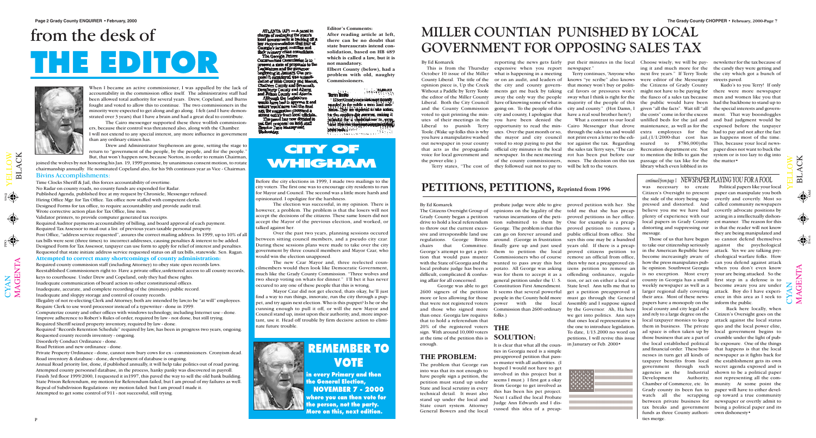$\mathbf{\Xi}$  $\overline{\phantom{0}}$  $\blacktriangleleft$ C K

 $\bigcup$  $\bm{\mathsf{X}}$  $\mathsf{Z}_\mathsf{I}$   $\mathbf{\Sigma}% _{T}=\mathbf{\Sigma}_{T}\times\mathbf{2}^{T}$  $\blacktriangleleft$ G  $\bf \Xi$  $\bm{\mathsf{Z}}$ 

 $\blacktriangleright$  $\blacksquare$  $\overline{\phantom{0}}$  $\overline{\phantom{0}}$  $\bigcirc$  $\geqslant$ 

 $\Theta$ 

M $\blacktriangleleft$ G  $\Xi$  $\boldsymbol{\mathsf{Z}}$  $\boldsymbol{\mathsf{\Xi}}$ 

 $\mathbf{\Xi}$  $\overline{\phantom{0}}$  $\blacktriangleleft$ C K

 $\bigoplus$ 

 $\bigoplus$ 

### By Ed Komarek

This is from the Thursday Without a Paddle by Terry Toole the editor of the Miller County Liberal. Both the City Council and the County Commission voted to quit printing the minyou have a manipulative washed out newspaper in your county that acts as the propaganda voice for local government and the power elite.)

October 10 issue of the Miller what is happening in a meeting County Liberal. The title of the or on an audit, and leaders of opinion piece is, Up the Creek the city and county governutes of their meetings in the you have been denied the Liberal to punish Terry opportunity to read the min-Cairo Messenger that drove Toole.(Wake up folks this is why utes. Over the past month or so, through the sales tax and would reporting the news gets fairly put their minutes in the local Choose wisely; we will be pay-newsletter for the tax because of expensive when you report newspaper." ments get me back by taking cal favors or pressures won't away the only way the people sway what I think is right for the have of knowing some of what is majority of the people of this the public would have been had the backbone to stand up to going on. To the people of this city and county." (Hot Damn, I city and county, I apologize that have a real soul brother here!) the mayor and city council not print even a letter to the edivoted to stop paying to put the tor against the tax. Regarding official city minutes in the local the sales tax Terry says, "The carnewspaper. In the next meeting rot has been put before our of the county commissioners, noses. The decision on this tax

Terry states, "The cost of they followed suit not to pay to will be left to the voters. What a contrast to our local

Terry continues, "Anyone who knows "ye scribe" also knows that money won't buy or politi-

ing it and much more for the the candy they were getting and next five years." If Terry Toole were editor of the Messenger the Citizens of Grady County might not have to be paying for the fiasco of a sales tax because men and women like you that given "all the facts". Wait till "all the special interests and governthe costs" come in for the excess ment. That way boondoggles unfilled beds for the jail and and bad judgment would be maintenance, as well as for the exposed before the taxpayer extra employees for jail,(1/1/2000-that cost has as happens most of the time. soared to \$786,000)the This, because your local news-Recreation department etc. Not paper does not want to buck the to mention the frills to gain the system or is too lazy to dig into passage of the tax like for the the matter• library which even lobbied in its

the city which got a bunch of streets paved.

Kudo's to you Terry! If only there were more newspaper had to pay and not after the fact

### PETITIONS, PETITIONS, Reprinted from 1996

### **MILLER COUNTIAN PUNISHED BY LOCAL GOVERNMENT FOR OPPOSING SALES TAX**

### By Ed Komarek

ing affair for all concerned.

2600 signers of the petition It seems that several powerful that were not registered voters than once. Georgia law requires folks.) that to hold a referendum that 20% of the registered voters **THE** sign. With around 10,000 voters at the time of the petition this is **SOLUTION:**  enough.

### **THE PROBLEM:**

The Citizens Oversight Group of opinions on the legality of the told me that she has preap-Grady County began a petition various incarnations of the peti-proved petitions in her office. drive to hold a local referendum tion submitted to them by One for example is a preapto throw out the current exces-George. The problem is that this proved petition to remove a sive and irresponsible land use can go on forever around and public official from office. She regulations. George Bivins around. (George in frustration says this one may be a hundred chairs that Committee. finally gave up and just used years old. If there is a preap-George's attempt to get a peti-them to petition the local proved citizens petition to tion that would pass muster Commissioners who of course remove an official from office, with the State of Georgia and the wanted to pass away this hot then why not a preapproved citlocal probate judge has been a potato. All George was asking izens petition to remove an difficult, complicated & confus-was for them to accept it as a offending ordinance, regula-George was able to get Constitution First Amendment. more or less allowing for those people in the County hold more must go through the General and those who signed more Commission than 2600 ordinary by the Governor. Ah, Ha here probate judge were able to give proved petition with her. She general petition under the U. S. tion, or act on either a local or power with the local

The problem that George ran into was that its not enough to have people sign a petition, the petition must stand up under State and local scrutiny in every technical detail. It must also stand up under the local and State court system. Attorney General Bowers and the local

It is clear that what all the counties in Georgia need is a simple preapproved petition that passes muster with all authorities. (I hoped I would not have to get involved in this project but it seems I must.) I first got a okay from George to get involved as this has been his pet project. Next I called the local Probate Judge Ann Edwards and I discussed this idea of a preapState level. Ann tells me that to get a petition preapproved it Assembly and I suppose signed we get into politics. Ann says that ones local representative is the one to introduce legislation. To date, 1/13.2000 no word on petitions, I will revive this issue in Janurary or Feb. 2000•

# from the desk of **THE EDITOR**



### **CITY OF WHIGHAM**

### **REMEMBER TO VOTE**

**in every Primary and then the General Election, NOVEMBER 7 - 2000 where you can then vote for the person, not the party. More on this, next edition.**

Before the city elections in 1999, I made two mailings to the city voters. The first one was to encourage city residents to run for Mayor and Council. The second was a little more harsh and opinionated. I opoligize for the harshness.

The election was successful, in my opinion. There is however, a problem. The problem is that the losers will not accept the decisions of the citizens. These same losers did not accept the Mayor of the previous election, and worked, or talked against her.

> Back here locally, when crumble under the light of public exposure. One of the things that happens is that the local the establishment gets its own secret agenda exposed and is shown to be a political paper Authority, not representing all the com-

Over the past two years, planning sessions occured between sitting council members, and a pseudo city czar. During these sessions plans were made to take over the city government by three council members and Mayor Czar, who would win the election unapposed.

The new Czar Mayor and, three reelected councilmembers would then look like Democratic Government, much like the Grady County Commission. "Three wolves and two sheep voting on whats for dinner." I'll bet it has never occured to any one of these people that this is wrong.

Mayor Czar did not get elected, thats okay, he'll just find a way to run things, innovate, run the city through a puppet, and try again next election. Who is this puppet? Is he or she cunning enough to pull it off, or will the new Mayor and Council stand up, insist upon their authority, and, more important, use it. Head off trouble by firm decisive action to eliminate future trouble.



When I became an active commissioner, I was appalled by the lack of accountability in the commission office itself. The administrative staff had been allowed total authority for several years. Drew, Copeland, and Burns fought and voted to allow this to continue. The two commissioners in the minority were expected to get along and go along. I felt (and I have demonstrated over 3 years) that I have a brain and had a great deal to contribute.

The Cairo messenger supported these three wolfish commissioners, because their control was threatened also, along with the Chamber. I will not extend to any special interest, any more influence in government than any ordinary citizen has.

Drew and Administrator Stephenson are gone, setting the stage to return to "government of the people, by the people, and for the people." But, that won't happen now, because Norton, in order to remain Chairman,

joined the wolves by not honoring his Jan. 19, 1999 promise, by unanimous consent motion, to rotate chairmanship annually. He nominated Copeland also, for his 9th continuos year as Vice - Chairman.

### Bivins Accomplishments:

Time Clocks Sheriff & Jail, this forces accountability of overtime. No Radar on county roads, no county funds are expended for Radar. Published Agenda, published free at my request by Chronicle, Messenger refused. Hiring Office Mgr. for Tax Office. Tax office now staffed with competent clerks. Designed Forms for tax office, to require accountability and provide audit trail.

Wrote corrective action plan for Tax Office, line item.

Validator printers, to provide computer generated tax receipts. Required Auditor payments accountability of billing, and board approval of each payment. Required Tax Assessor to mail out a list of previous years taxable personal property. Post Office, "address service requested", assures the correct mailing address. In 1999, up to 10% of all tax bills were sent (three times) to incorrect addresses, causing penalties & interest to be added. Designed Form for Tax Assessor, taxpayer can use form to apply for relief of interest and penalties. Requested that state initiate address service requested status on all tax bills, statewide. Sen. Ragan.

### **Attempted to correct many shortcomings of county administration:**

Required county commission staff (including Attorney) to obey state open records laws. Reestablished Commissioners right to: Have a private office,unfettered access to all county records, keys to courthouse. Under Drew and Copeland, only they had these rights. Inadequate communication of board action to other constitutional offices.

Inadequate, accurate, and complete recording of the (minutes) public record.

Inadequate and sloppy storage and control of county records.

Illegality of not re-electing Clerk and Attorney, both are intended by law,to be "at will" employees. Require Clerk to use word processor instead of a typewriter - done in 1999.

Computerize county and other offices with windows technology, including Internet use - done. Improve adherence to Robert's Rules of order, required by law - not done, but still trying. Required Sheriff seized property inventory, required by law - done.

Required "Records Retention Schedule" required by law, has been in progress two years, ongoing. Requested county records inventory - ongoing.

Disorderly Conduct Ordinance - done.

Road Petition and new ordinance - done.

Private Property Ordinance - done, cannot now bury cows for ex - commissioners. Cronyism dead. Road inventory & database - done, development of database is ongoing.

Annual Road priority list, done, if published annually, it will help take politics out of road paving. Attempted county personnel database, in the process, hanky panky was discovered in payroll. Finish 3rd floor 1999/2000, I requested it in1997, this paved the way to sell the old bank building. State Prison Referendum, my motion for Referendum failed, but I am proud of my failures as well. Repeal of Subdivision Regulations - my motion failed. but I am proud I made it. Attempted to get some control of 911 - not successful, still trying.

ATLANTA (AP)  $-$  A panel in<br>charge of realisping the state's<br>local governments is becking off a<br>lay recommendation that four of Georgia's largest munites and

Georgia's largest counties and<br>their primary client consolidate.<br>The Georgia Future<br>Communities Consulation is to<br>present a flate of proposals to the<br>Lagislature and the governor<br>beginning in January One pro-<br>possi it cons negation of High County one pro-<br>possible considered was consolidation of High County and Marcui,<br>Chathern County and Alberts,<br>and Highern County and Alberts.<br>Alberts the Lordestern

Although the Legislature

pouch would never out the main of the signal properties are decided to<br>signal others from local officials.<br>The panel has now decided to<br>put their proposal on hold, staff<br>director Jane Massey said.<br>Wednesday.

was necessary to create Citizen's Oversight to present paper can manipulate you both the side of the story being sup-overtly and covertly. Most so pressed and distorted. And believe you me we have had covertly advocate positions by plenty of experience with our acting in a intellectually dishonlocal papers in Grady County est manner. The reason for this distorting and suppressing our is that the reader will not know message.

Those of us that have begun to take our citizenship seriously against the psychological in the American Republic have attack. Yes we are talking psybecome increasingly aware of chological warfare folks. How how the press manipulates pub-can you defend against attack lic opinion. Southwest Georgia when you don't even know is no exception. Most every county in Georgia has a small weekly newspaper as well as a become aware you are under larger regional daily covering attack. Boy do I have experitheir area. Most of these news-ence in this area as I seek to papers have a monopoly on the local county and city legal ad's and rely to a large degree on the Citizen's Oversight goes on the local taxpayer monies to keep attack against the local status them in business. The private quo and the local power elite, ad space is often taken up by local government begins to those business that are a part of the local established political and financial order. These businesses in turn get all kinds of newspaper as it fights back for taxpayer benefits from local government through such agencies as the Industrial Development Chamber of Commerce, etc. In munity. At some point the Grady county its been fun to paper will have to either develwatch all the scrapping op toward a true community between private business for newspaper or overtly admit to tax breaks and government being a political paper and its funds as three County authori- own dishonesty• ties merge.

Political papers like your local called community newspapers they are being manipulated and so cannot defend themselves your are being attacked. So the first step in a defense is to inform the public.

 $\mathbf{\cup}$  $\bm{\mathsf{X}}$  $\mathsf{Z}$ 

 $\blacktriangleright$  $\blacksquare$  $\overline{\phantom{0}}$  $\overline{\phantom{0}}$  $\bigcirc$  $\geqslant$ 

### *continued from page 1 NEWSPAPER PLAYING YOU FOR A FOOL*

### **Editor's Comments:**

**After reading article at left, there can be no doubt that state bureaucrats intend consolidation, based on HB 489 which is called a law, but it is not mandatory.**

**Elbert County (below), had a problem with old, naughty Commissioners.**

 $\frac{1}{2}$  ,  $\frac{1}{2}$  ,  $\frac{1}{2}$  ,  $\frac{1}{2}$  ,  $\frac{1}{2}$  ,  $\frac{1}{2}$  ,  $\frac{1}{2}$  ,  $\frac{1}{2}$ **Term limits** 

Elbert Goundy commissioner (propri) te the mediate the summer, unicing it **Line Brancher Manufacturers** Wester  $\theta \in \mathcal{A} \times \mathcal{M} \cap \mathcal{B}$  (where  $\theta$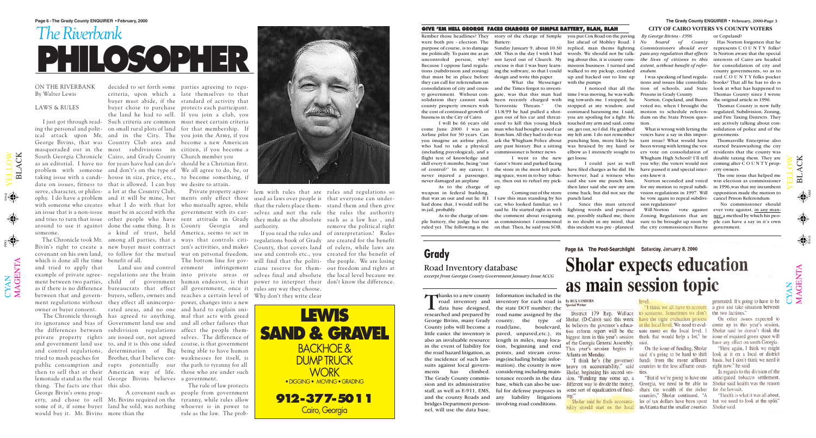$\mathbf{\Xi}$  $\overline{\phantom{0}}$  $\blacktriangleleft$ C K

Odd

Even

Rember those headlines? They story of the charge of Simple were both pre - election. The Battery: that must be in place before design and write this paper. they can call for referendum on business in the City of Cairo.

(including psycological), and a commissioner is hotter news. flight test of knowledge and skill every 6 months, being "out Gator's Store and parked facing never damaged an airplane

As to the charge of up. weapon in federal building, that was an out and out lie. If I I saw this man standing by his had done that, I would still be car, who looked familiar, so I in jail, probably.



purpose of course, is to damage Sunday January 9, about 10:30 replied, man thems fighting me politically. To paint me as an AM. This is the day I wish I had words. We should not be talk-*pass any regulation that effects* Is Norton aware that the special uncontroled person, why? not layed out of Church. My ing about this, it is county com-*the lives of citizens to this* interests of Cairo are headed Because I oppose land regula-excuse is that I was busy learn-mission business. I turned and tions (subdivision and zoning) ing the software, so that I could walked to my pickup, cranked *endum.* you put Cox Road on the paving list ahead of Mobley Road. I *No board of County* Has Norton forgotten that he up and backed out to line up

As to the charge of sim- the comment about resigning me, possibly stalked me, there Zoning Regulations that are ner, a method by which his people battery, the judge has not as commissioner. I commented is no doubt in my mind, that sure to be brought up soon by ple can have a say in it's own said hi. He started right in with fighting words and pursued Since this man uttered

of control?" In my career, I the store in the most left park-have filed charges as he did. He never injured a passenger, ing space, went in to buy tobac-however, had a witness who I went to the new get loose. co, then out to refuel my pick-said she saw me punch him,

ruled yet. The following is the on that. Then, he said you SOB, this incident was pre - planned. the city commissioners Burns government.

Coming out of the store come back, but did not see the I could just as well then later said she saw my arm for my motion to repeal subdipunch land.

consolidation of city and coun-and the Times forgot to investity government. Without con-gate, was that this man had time I was moving, he was walksolidation they cannot soak been recently charged with ing towards me. I stopped, he county property owners with Terroristic Threats." On stopped at my window, and the cost of continued growth of 11/8/99 he had pulled a shot-continued harassing me. I said, I will be 66 years old ened to kill this young black touched my arm and said, come tion. come June 2000. I was an man who had bought a used car on, get out, so I did. He grabbed Airline pilot for 30 years. Can from him. All they had to do was my left arm. I do not remember voters have a say in this impor-goverments. you imagine an airline pilot, ask the Whigham Police about punching him, more likely he who had to take a physical any past history. But a sitting was bruised by my hand or been wrong with letting the vot-What the Messenger with the pumps. gun out of his car and threat-you are spoiling for a fight. He dum on the State Prison ques-and Fire Taxing Districts. They

 $\mathbf{\Xi}$  $\overline{\phantom{0}}$  $\blacktriangleleft$ C K

 $\mathbf{\Sigma}% _{T}=\mathbf{\Sigma}_{T}\times\mathbf{2}^{T}$  $\blacktriangleleft$ G  $\bf \Xi$  $\bm{\mathsf{Z}}$  $\boldsymbol{\Xi}$ 

serve, character, or philos-a lot at the Country Club, Private property agree-lem with rules that are rules and regulations so ophy. I do have a problem and it will be mine, but ments only effect those used as laws over people is that everyone can underwith someone who creates what I do with that lot who mutually agree, while that the rulers place them- stand them and then give an issue that is a non-issue must be in accord with the government with its cur-selves and not the rule the rules the authority and tries to turn that issue other people who have rent attitude in Grady they make as the absolute such as a law has , and around to use it against done the same thing. It is County Georgia and authority. The Chronicle took Mr. among all parties, that a ways that controls citi-regulations book of Grady are created for the benefit Bivin's right to create a new buyer must contract zen's activities, and makes County, that covers land of rulers, while laws are covenant on his own land, to follow for the mutual war on personal freedom. use and controls etc., you created for the benefit of and tried to apply that Land use and control ernment infringement cians reserve for them- our freedom and rights at example of private agree- regulations are the brain into private areas or selves final and absolute the local level because we ment between two parties, child of government human endeavor, is that power to interpret their don't know the difference. as if there is no difference bureaucrats that effect all government, once it rules any way they choose. between that and govern- buyers, sellers, owners and reaches a certain level of Why don't they write clear a kind of trust, held America, seems to act in If you read the rules and of interpretation? Rules The bottom line for gov- will find that the politi- the people. We are losing

tions and issues like consolida-books? That all he has to do is tion of schools, and State look at what has happened to Prisons in Grady County.

Norton, Copeland, and Burns the original article in 1996. voted no, when I brought the

I noticed that all the elbow as I instinctly sought to ers vote on consolidation of residents that the county was

*By George Bivins - 1996 Commissioners should ever* represents C O U N T Y folks? *extent, without benefit of refer-*for consolidation of city and

tant issue? What would have have passed it and special interests knew it.

I was speaking of land regula-raid C O U N T Y folks pocket county governments, so as to Thomas County since I wrote

Norton seconded and voted vision regulations in 1997. Will he vote again to repeal subdivision regulations?

Will Norton vote against

motion to schedule referen-regulated, Subdivision, Zoning, What is wrong with letting the solidation of police and of the Thomas County is now fully are actively talking about con-

or Copeland?

Whigham High School? I'll tell double taxing them. They are you why; the voters would not coming after C O U N T Y prop-Thomasville Enterprise also started brainwashing the city erty owners.

The one issue that helped me win election as commissioner in 1996,was that my incumbent opposition made the motion to cancel Prison Referendum.

No commissioner should ever vote against, in any man-

### **GIVE 'EM HELL GEORGE FACES CHARGES OF SIMPLE BATTERY, BLAH, BLAH**

Odd Even

ON THE RIVERBANK By Walter Lewis

> Thanks to a new county<br>
> road inventory and inventory for each road is<br>
> data base designed, the state DOT number; the<br>
> researched and prepared by road name assigned by the road inventory and inventory for each road is data base designed, the state DOT number; the

## **Sholar expects education** as main session topic

Sholar, (D-Cairo) said this week have the right evaluation process he believes the governor's educa- at the local level. We need to eval- come up in this year's session, tion reform report will be the uate more on the local level. I Sholar said he doesn't think the biggest item in this year's session think that would help a lot," he issue of required green space will of the Georgia General Assembly. said.

bility should start on the local in Atlanta that the smaller counties Sholar said.

Page 8A The Post-Searchlight Saturday, January 8, 2000

District 179 Rep. Wallace to someone. Sometimes we don't the two factions."

said it's going to be hard to shift look at it on a local or district "I think he's (the governor) funds from the more affluent basis, but I don't think we need it

counties," Sholar continued. "A Sholar said he feels accounta- lot of tax dollars have been spent but we need to look at the split'

generated. It's going to have to be "I think we all have to account a give and take situation between

### LAWS & RULES

On other issues expected to have any affect on south Georgia.

"Here again, I think we might

In regards to the division of the "But if we're going to have one anticipated tobacco settlement,

"Health is what it was all about,

 $\bigcup$  $\bm{\mathsf{X}}$  $\mathbf{Z}_1$  $\boldsymbol{\Sigma}$  $\blacktriangleleft$ G  $\Xi$  $\boldsymbol{\mathsf{Z}}$  $\boldsymbol{\mathsf{\Xi}}$ 

 $\blacktriangleright$  $\blacksquare$  $\overline{\phantom{0}}$  $\overline{\phantom{0}}$  $\bigcirc$  $\geqslant$ 

South Georgia Chronicle Cairo, and Grady County Church member you problem with someone and don't's on the type of We all agree to do, be, or taking issue with a candi-house in size, price, etc., to become something, if date on issues, fitness to that is allowed. I can buy we desire to attain. someone.

which is done all the time benefit of all.

 $\bigcup$  $\bm{\mathsf{X}}$  $\mathsf{Z}_\mathsf{I}$ 

 $\blacktriangleright$  $\blacksquare$  $\overline{\phantom{0}}$  $\overline{\phantom{0}}$  $\bigcirc$  $\geqslant$ 

 $\overline{\blacklozenge}$ 

I just got through read-Such criteria are common must meet certain criteria ing the personal and polit-on small rural plots of land for that membership. If ical attack upon Mr. and in the City. The you join the Army, if you George Bivins, that was Country Club area and become a new American masqueraded out in the most subdivisions in citizen, if you become a as an editorial. I have no for years have had can do's should be a Christian first. decided to set forth some parties agreeing to regucriteria, upon which a late themselves to that buyer must abide, if the standard of activity that buyer chose to purchase protects each participant. the land he had to sell. If you join a club, you

its ignorance and bias of Government land use and and all other failures that the differences between subdivision regulations affect the people themprivate property rights are issued out, not agreed selves. The difference of and government land use to, and it is this one sided course, is that government and control regulations, determination of Big being able to have human tried to mash peaches for Brother, that I believe cor-weaknesses for itself, is public consumption and rupts potentially our the path to tyranny for all then to sell that at their American way of life. those who are under such lemonade stand as the real George Bivins believes a government. thing. The facts are that this also. George Bivin's owns property, and chose to sell Mr. Bivins required on the tyranny, while rules allow some of it, if some buyer land he sold, was nothing whoever is in power to would buy it. Mr. Bivins more than the

ment regulations without they effect all unincorpo-power, changes into a new owner or buyer consent. rated areas, and no one and hard to explain ani-The Chronicle through has agreed to anything. mal that acts with greed

A covenant such as people from government The rule of law protects rule as the law. The prob-



remove the political right



# *The Riverbank* **PHILOSOPHER**



### **Grady** Road Inventory database

*excerpt from Georgia County Government January Issue ACCG*

**CITY OF CAIRO VOTERS VS COUNTY VOTERS**

researched and prepared by road name assigned by the George Bivins, many Grady county; the type of County jobs will become a road(lane, boulevard, little easier. the inventory is paved, unpaved,etc.), its also an invaluable resource length in miles, map locain the event of liability for tion, beginning and end the road hazard litigation, as points, and stream crossthe incidence of such law-ings(including bridge inforsuits against local govern-mation). the county is now ments has climbed. considering including main-The Grady County commis-tenance records in the data sion and its administrative base, which can also be usestaff, as well as E-911, EMS, ful for defense purposes in and the county Roads and any liability litigations bridges Department person-involving road conditions. nel, will use the data base.